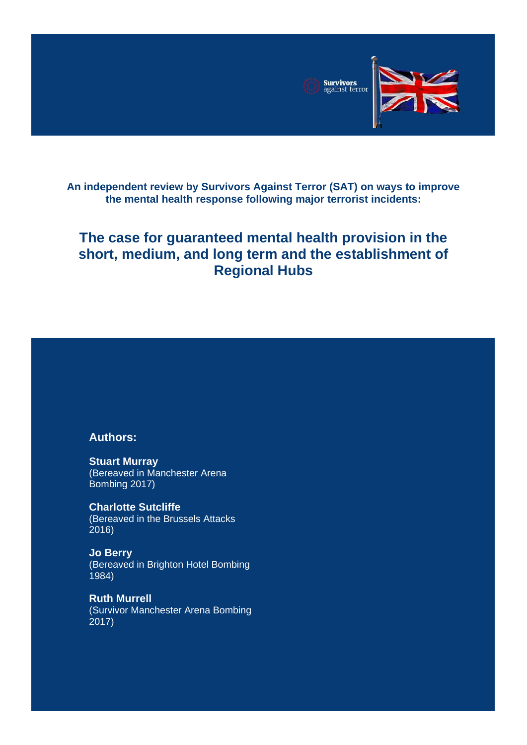

**An independent review by Survivors Against Terror (SAT) on ways to improve the mental health response following major terrorist incidents:**

# **The case for guaranteed mental health provision in the short, medium, and long term and the establishment of Regional Hubs**

#### **Authors:**

**Stuart Murray**  (Bereaved in Manchester Arena Bombing 2017)

**Charlotte Sutcliffe**  (Bereaved in the Brussels Attacks 2016)

**Jo Berry**  (Bereaved in Brighton Hotel Bombing 1984)

**Ruth Murrell** (Survivor Manchester Arena Bombing 2017)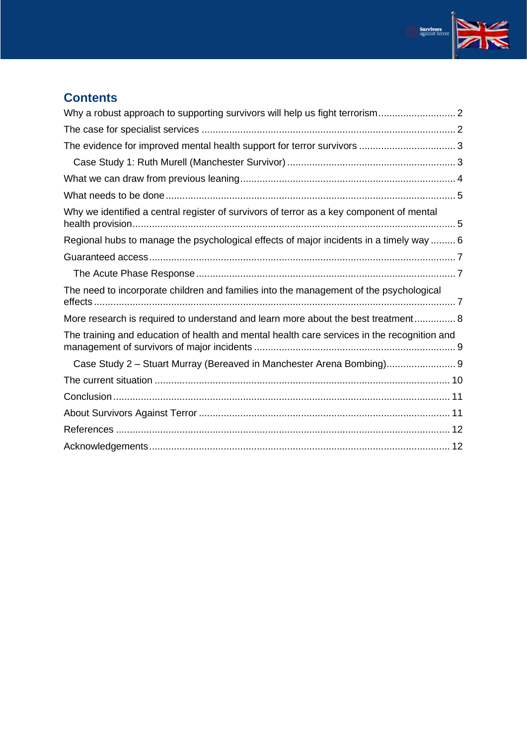

| Why we identified a central register of survivors of terror as a key component of mental    |  |
|---------------------------------------------------------------------------------------------|--|
| Regional hubs to manage the psychological effects of major incidents in a timely way  6     |  |
|                                                                                             |  |
|                                                                                             |  |
| The need to incorporate children and families into the management of the psychological      |  |
| More research is required to understand and learn more about the best treatment 8           |  |
| The training and education of health and mental health care services in the recognition and |  |
| Case Study 2 - Stuart Murray (Bereaved in Manchester Arena Bombing)                         |  |
|                                                                                             |  |
|                                                                                             |  |
|                                                                                             |  |
|                                                                                             |  |
|                                                                                             |  |

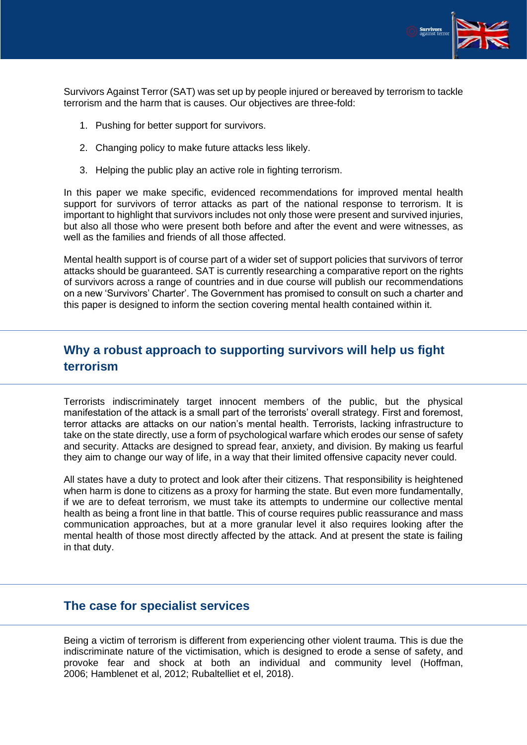

Survivors Against Terror (SAT) was set up by people injured or bereaved by terrorism to tackle terrorism and the harm that is causes. Our objectives are three-fold:

- 1. Pushing for better support for survivors.
- 2. Changing policy to make future attacks less likely.
- 3. Helping the public play an active role in fighting terrorism.

In this paper we make specific, evidenced recommendations for improved mental health support for survivors of terror attacks as part of the national response to terrorism. It is important to highlight that survivors includes not only those were present and survived injuries, but also all those who were present both before and after the event and were witnesses, as well as the families and friends of all those affected.

Mental health support is of course part of a wider set of support policies that survivors of terror attacks should be guaranteed. SAT is currently researching a comparative report on the rights of survivors across a range of countries and in due course will publish our recommendations on a new 'Survivors' Charter'. The Government has promised to consult on such a charter and this paper is designed to inform the section covering mental health contained within it.

## <span id="page-2-0"></span>**Why a robust approach to supporting survivors will help us fight terrorism**

Terrorists indiscriminately target innocent members of the public, but the physical manifestation of the attack is a small part of the terrorists' overall strategy. First and foremost, terror attacks are attacks on our nation's mental health. Terrorists, lacking infrastructure to take on the state directly, use a form of psychological warfare which erodes our sense of safety and security. Attacks are designed to spread fear, anxiety, and division. By making us fearful they aim to change our way of life, in a way that their limited offensive capacity never could.

All states have a duty to protect and look after their citizens. That responsibility is heightened when harm is done to citizens as a proxy for harming the state. But even more fundamentally, if we are to defeat terrorism, we must take its attempts to undermine our collective mental health as being a front line in that battle. This of course requires public reassurance and mass communication approaches, but at a more granular level it also requires looking after the mental health of those most directly affected by the attack. And at present the state is failing in that duty.

### <span id="page-2-1"></span>**The case for specialist services**

Being a victim of terrorism is different from experiencing other violent trauma. This is due the indiscriminate nature of the victimisation, which is designed to erode a sense of safety, and provoke fear and shock at both an individual and community level (Hoffman, 2006; Hamblenet et al, 2012; Rubaltelliet et el, 2018).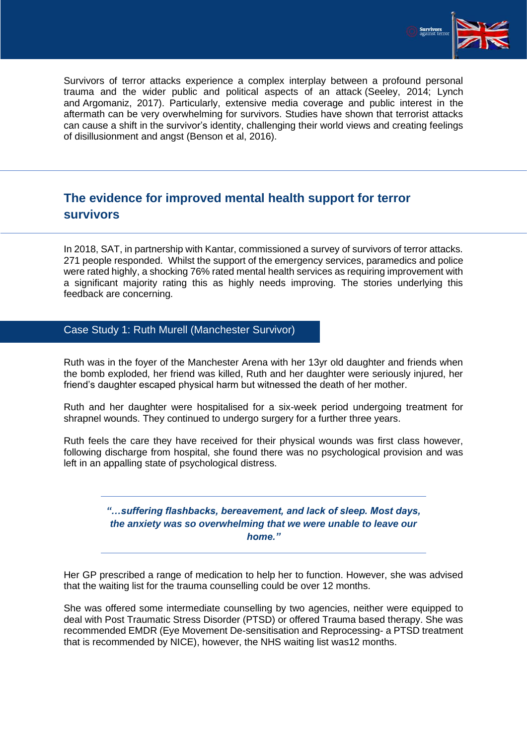

Survivors of terror attacks experience a complex interplay between a profound personal trauma and the wider public and political aspects of an attack (Seeley, 2014; Lynch and Argomaniz, 2017). Particularly, extensive media coverage and public interest in the aftermath can be very overwhelming for survivors. Studies have shown that terrorist attacks can cause a shift in the survivor's identity, challenging their world views and creating feelings of disillusionment and angst (Benson et al, 2016).

# <span id="page-3-0"></span>**The evidence for improved mental health support for terror survivors**

In 2018, SAT, in partnership with Kantar, commissioned a survey of survivors of terror attacks. 271 people responded. Whilst the support of the emergency services, paramedics and police were rated highly, a shocking 76% rated mental health services as requiring improvement with a significant majority rating this as highly needs improving. The stories underlying this feedback are concerning.

#### <span id="page-3-1"></span>Case Study 1: Ruth Murell (Manchester Survivor)

Ruth was in the foyer of the Manchester Arena with her 13yr old daughter and friends when the bomb exploded, her friend was killed, Ruth and her daughter were seriously injured, her friend's daughter escaped physical harm but witnessed the death of her mother.

Ruth and her daughter were hospitalised for a six-week period undergoing treatment for shrapnel wounds. They continued to undergo surgery for a further three years.

Ruth feels the care they have received for their physical wounds was first class however, following discharge from hospital, she found there was no psychological provision and was left in an appalling state of psychological distress.

#### *"…suffering flashbacks, bereavement, and lack of sleep. Most days, the anxiety was so overwhelming that we were unable to leave our home."*

Her GP prescribed a range of medication to help her to function. However, she was advised that the waiting list for the trauma counselling could be over 12 months.

She was offered some intermediate counselling by two agencies, neither were equipped to deal with Post Traumatic Stress Disorder (PTSD) or offered Trauma based therapy. She was recommended EMDR (Eye Movement De-sensitisation and Reprocessing- a PTSD treatment that is recommended by NICE), however, the NHS waiting list was12 months.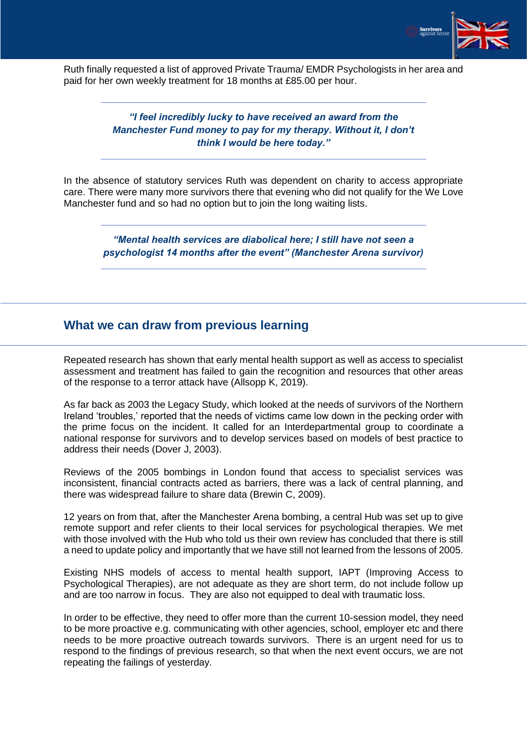

Ruth finally requested a list of approved Private Trauma/ EMDR Psychologists in her area and paid for her own weekly treatment for 18 months at £85.00 per hour.

#### *"I feel incredibly lucky to have received an award from the Manchester Fund money to pay for my therapy. Without it, I don't think I would be here today."*

In the absence of statutory services Ruth was dependent on charity to access appropriate care. There were many more survivors there that evening who did not qualify for the We Love Manchester fund and so had no option but to join the long waiting lists.

*"Mental health services are diabolical here; I still have not seen a psychologist 14 months after the event" (Manchester Arena survivor)*

### <span id="page-4-0"></span>**What we can draw from previous learning**

Repeated research has shown that early mental health support as well as access to specialist assessment and treatment has failed to gain the recognition and resources that other areas of the response to a terror attack have (Allsopp K, 2019).

As far back as 2003 the Legacy Study, which looked at the needs of survivors of the Northern Ireland 'troubles,' reported that the needs of victims came low down in the pecking order with the prime focus on the incident. It called for an Interdepartmental group to coordinate a national response for survivors and to develop services based on models of best practice to address their needs (Dover J, 2003).

Reviews of the 2005 bombings in London found that access to specialist services was inconsistent, financial contracts acted as barriers, there was a lack of central planning, and there was widespread failure to share data (Brewin C, 2009).

12 years on from that, after the Manchester Arena bombing, a central Hub was set up to give remote support and refer clients to their local services for psychological therapies. We met with those involved with the Hub who told us their own review has concluded that there is still a need to update policy and importantly that we have still not learned from the lessons of 2005.

Existing NHS models of access to mental health support, IAPT (Improving Access to Psychological Therapies), are not adequate as they are short term, do not include follow up and are too narrow in focus. They are also not equipped to deal with traumatic loss.

In order to be effective, they need to offer more than the current 10-session model, they need to be more proactive e.g. communicating with other agencies, school, employer etc and there needs to be more proactive outreach towards survivors. There is an urgent need for us to respond to the findings of previous research, so that when the next event occurs, we are not repeating the failings of yesterday.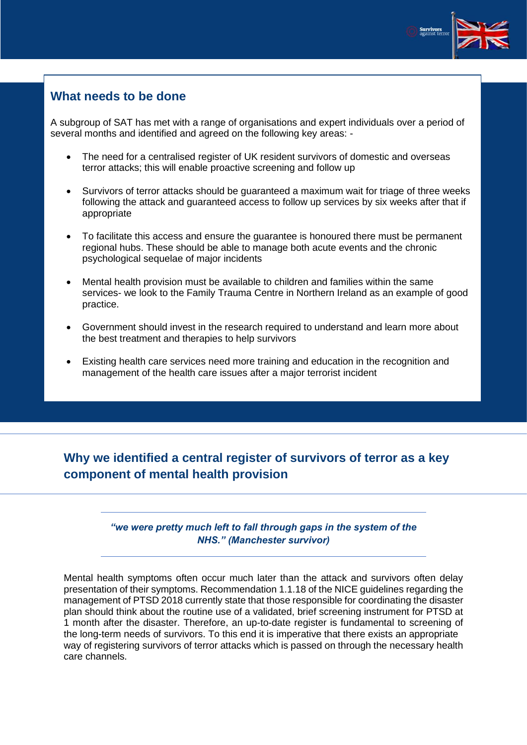

## <span id="page-5-0"></span>**What needs to be done**

A subgroup of SAT has met with a range of organisations and expert individuals over a period of several months and identified and agreed on the following key areas: -

- The need for a centralised register of UK resident survivors of domestic and overseas terror attacks; this will enable proactive screening and follow up
- Survivors of terror attacks should be guaranteed a maximum wait for triage of three weeks following the attack and guaranteed access to follow up services by six weeks after that if appropriate
- To facilitate this access and ensure the guarantee is honoured there must be permanent regional hubs. These should be able to manage both acute events and the chronic psychological sequelae of major incidents
- Mental health provision must be available to children and families within the same services- we look to the Family Trauma Centre in Northern Ireland as an example of good practice.
- Government should invest in the research required to understand and learn more about the best treatment and therapies to help survivors
- Existing health care services need more training and education in the recognition and management of the health care issues after a major terrorist incident

# <span id="page-5-1"></span>**Why we identified a central register of survivors of terror as a key component of mental health provision**

#### *"we were pretty much left to fall through gaps in the system of the NHS." (Manchester survivor)*

Mental health symptoms often occur much later than the attack and survivors often delay presentation of their symptoms. Recommendation 1.1.18 of the NICE guidelines regarding the management of PTSD 2018 currently state that those responsible for coordinating the disaster plan should think about the routine use of a validated, brief screening instrument for PTSD at 1 month after the disaster. Therefore, an up-to-date register is fundamental to screening of the long-term needs of survivors. To this end it is imperative that there exists an appropriate way of registering survivors of terror attacks which is passed on through the necessary health care channels.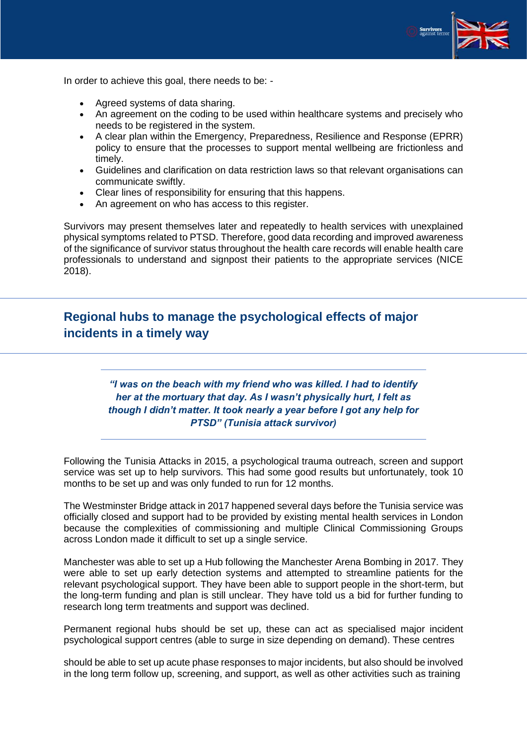

In order to achieve this goal, there needs to be: -

- Agreed systems of data sharing.
- An agreement on the coding to be used within healthcare systems and precisely who needs to be registered in the system.
- A clear plan within the Emergency, Preparedness, Resilience and Response (EPRR) policy to ensure that the processes to support mental wellbeing are frictionless and timely.
- Guidelines and clarification on data restriction laws so that relevant organisations can communicate swiftly.
- Clear lines of responsibility for ensuring that this happens.
- An agreement on who has access to this register.

Survivors may present themselves later and repeatedly to health services with unexplained physical symptoms related to PTSD. Therefore, good data recording and improved awareness of the significance of survivor status throughout the health care records will enable health care professionals to understand and signpost their patients to the appropriate services (NICE 2018).

# <span id="page-6-0"></span>**Regional hubs to manage the psychological effects of major incidents in a timely way**

*"I was on the beach with my friend who was killed. I had to identify her at the mortuary that day. As I wasn't physically hurt, I felt as though I didn't matter. It took nearly a year before I got any help for PTSD" (Tunisia attack survivor)* 

Following the Tunisia Attacks in 2015, a psychological trauma outreach, screen and support service was set up to help survivors. This had some good results but unfortunately, took 10 months to be set up and was only funded to run for 12 months.

The Westminster Bridge attack in 2017 happened several days before the Tunisia service was officially closed and support had to be provided by existing mental health services in London because the complexities of commissioning and multiple Clinical Commissioning Groups across London made it difficult to set up a single service.

Manchester was able to set up a Hub following the Manchester Arena Bombing in 2017. They were able to set up early detection systems and attempted to streamline patients for the relevant psychological support. They have been able to support people in the short-term, but the long-term funding and plan is still unclear. They have told us a bid for further funding to research long term treatments and support was declined.

Permanent regional hubs should be set up, these can act as specialised major incident psychological support centres (able to surge in size depending on demand). These centres

should be able to set up acute phase responses to major incidents, but also should be involved in the long term follow up, screening, and support, as well as other activities such as training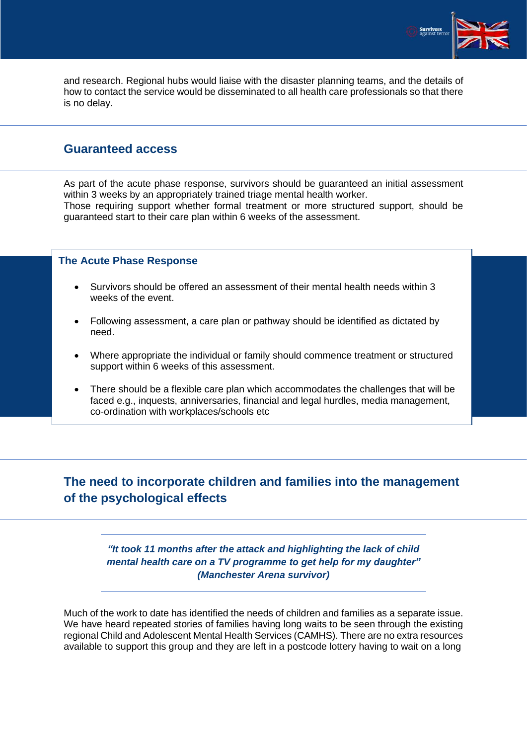

and research. Regional hubs would liaise with the disaster planning teams, and the details of how to contact the service would be disseminated to all health care professionals so that there is no delay.

### <span id="page-7-0"></span>**Guaranteed access**

As part of the acute phase response, survivors should be guaranteed an initial assessment within 3 weeks by an appropriately trained triage mental health worker. Those requiring support whether formal treatment or more structured support, should be guaranteed start to their care plan within 6 weeks of the assessment.

#### <span id="page-7-1"></span>**The Acute Phase Response**

- Survivors should be offered an assessment of their mental health needs within 3 weeks of the event.
- Following assessment, a care plan or pathway should be identified as dictated by need.
- Where appropriate the individual or family should commence treatment or structured support within 6 weeks of this assessment.
- There should be a flexible care plan which accommodates the challenges that will be faced e.g., inquests, anniversaries, financial and legal hurdles, media management, co-ordination with workplaces/schools etc

# <span id="page-7-2"></span>**The need to incorporate children and families into the management of the psychological effects**

*"It took 11 months after the attack and highlighting the lack of child mental health care on a TV programme to get help for my daughter" (Manchester Arena survivor)*

Much of the work to date has identified the needs of children and families as a separate issue. We have heard repeated stories of families having long waits to be seen through the existing regional Child and Adolescent Mental Health Services (CAMHS). There are no extra resources available to support this group and they are left in a postcode lottery having to wait on a long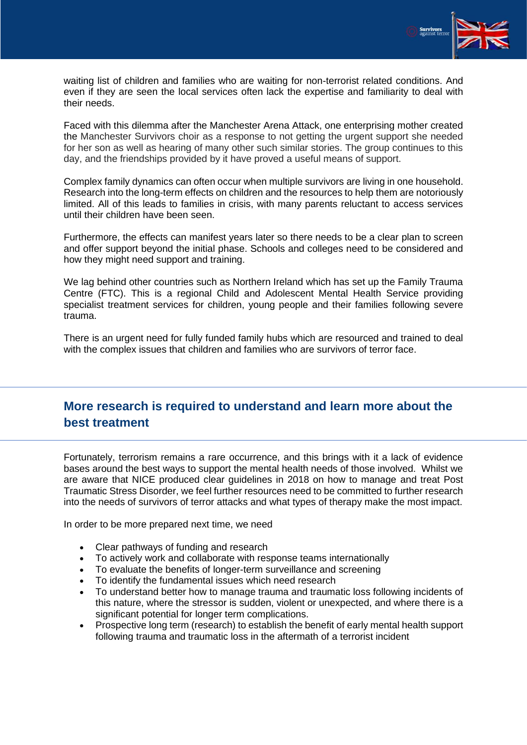

waiting list of children and families who are waiting for non-terrorist related conditions. And even if they are seen the local services often lack the expertise and familiarity to deal with their needs.

Faced with this dilemma after the Manchester Arena Attack, one enterprising mother created the Manchester Survivors choir as a response to not getting the urgent support she needed for her son as well as hearing of many other such similar stories. The group continues to this day, and the friendships provided by it have proved a useful means of support.

Complex family dynamics can often occur when multiple survivors are living in one household. Research into the long-term effects on children and the resources to help them are notoriously limited. All of this leads to families in crisis, with many parents reluctant to access services until their children have been seen.

Furthermore, the effects can manifest years later so there needs to be a clear plan to screen and offer support beyond the initial phase. Schools and colleges need to be considered and how they might need support and training.

We lag behind other countries such as Northern Ireland which has set up the Family Trauma Centre (FTC). This is a regional Child and Adolescent Mental Health Service providing specialist treatment services for children, young people and their families following severe trauma.

There is an urgent need for fully funded family hubs which are resourced and trained to deal with the complex issues that children and families who are survivors of terror face.

## <span id="page-8-0"></span>**More research is required to understand and learn more about the best treatment**

Fortunately, terrorism remains a rare occurrence, and this brings with it a lack of evidence bases around the best ways to support the mental health needs of those involved. Whilst we are aware that NICE produced clear guidelines in 2018 on how to manage and treat Post Traumatic Stress Disorder, we feel further resources need to be committed to further research into the needs of survivors of terror attacks and what types of therapy make the most impact.

In order to be more prepared next time, we need

- Clear pathways of funding and research
- To actively work and collaborate with response teams internationally
- To evaluate the benefits of longer-term surveillance and screening
- To identify the fundamental issues which need research
- To understand better how to manage trauma and traumatic loss following incidents of this nature, where the stressor is sudden, violent or unexpected, and where there is a significant potential for longer term complications.
- Prospective long term (research) to establish the benefit of early mental health support following trauma and traumatic loss in the aftermath of a terrorist incident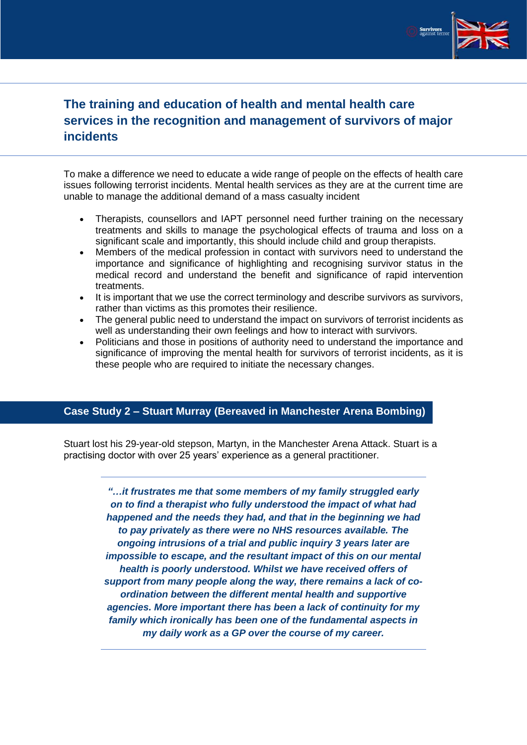

# <span id="page-9-0"></span>**The training and education of health and mental health care services in the recognition and management of survivors of major incidents**

To make a difference we need to educate a wide range of people on the effects of health care issues following terrorist incidents. Mental health services as they are at the current time are unable to manage the additional demand of a mass casualty incident

- Therapists, counsellors and IAPT personnel need further training on the necessary treatments and skills to manage the psychological effects of trauma and loss on a significant scale and importantly, this should include child and group therapists.
- Members of the medical profession in contact with survivors need to understand the importance and significance of highlighting and recognising survivor status in the medical record and understand the benefit and significance of rapid intervention treatments.
- It is important that we use the correct terminology and describe survivors as survivors, rather than victims as this promotes their resilience.
- The general public need to understand the impact on survivors of terrorist incidents as well as understanding their own feelings and how to interact with survivors.
- Politicians and those in positions of authority need to understand the importance and significance of improving the mental health for survivors of terrorist incidents, as it is these people who are required to initiate the necessary changes.

#### <span id="page-9-1"></span>**Case Study 2 – Stuart Murray (Bereaved in Manchester Arena Bombing)**

Stuart lost his 29-year-old stepson, Martyn, in the Manchester Arena Attack. Stuart is a practising doctor with over 25 years' experience as a general practitioner.

> *"…it frustrates me that some members of my family struggled early on to find a therapist who fully understood the impact of what had happened and the needs they had, and that in the beginning we had to pay privately as there were no NHS resources available. The ongoing intrusions of a trial and public inquiry 3 years later are impossible to escape, and the resultant impact of this on our mental health is poorly understood. Whilst we have received offers of support from many people along the way, there remains a lack of coordination between the different mental health and supportive agencies. More important there has been a lack of continuity for my family which ironically has been one of the fundamental aspects in my daily work as a GP over the course of my career.*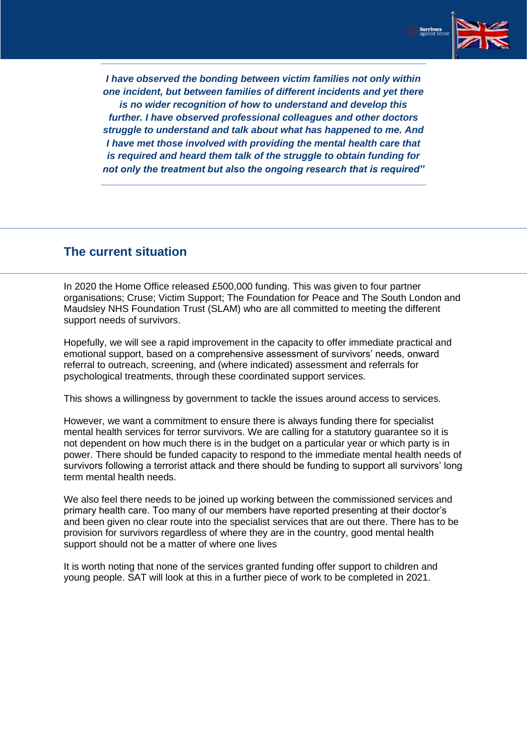

*I have observed the bonding between victim families not only within one incident, but between families of different incidents and yet there is no wider recognition of how to understand and develop this further. I have observed professional colleagues and other doctors struggle to understand and talk about what has happened to me. And I have met those involved with providing the mental health care that is required and heard them talk of the struggle to obtain funding for not only the treatment but also the ongoing research that is required"*

### <span id="page-10-0"></span>**The current situation**

In 2020 the Home Office released £500,000 funding. This was given to four partner organisations; Cruse; Victim Support; The Foundation for Peace and The South London and Maudsley NHS Foundation Trust (SLAM) who are all committed to meeting the different support needs of survivors.

Hopefully, we will see a rapid improvement in the capacity to offer immediate practical and emotional support, based on a comprehensive assessment of survivors' needs, onward referral to outreach, screening, and (where indicated) assessment and referrals for psychological treatments, through these coordinated support services.

This shows a willingness by government to tackle the issues around access to services.

However, we want a commitment to ensure there is always funding there for specialist mental health services for terror survivors. We are calling for a statutory guarantee so it is not dependent on how much there is in the budget on a particular year or which party is in power. There should be funded capacity to respond to the immediate mental health needs of survivors following a terrorist attack and there should be funding to support all survivors' long term mental health needs.

We also feel there needs to be joined up working between the commissioned services and primary health care. Too many of our members have reported presenting at their doctor's and been given no clear route into the specialist services that are out there. There has to be provision for survivors regardless of where they are in the country, good mental health support should not be a matter of where one lives

It is worth noting that none of the services granted funding offer support to children and young people. SAT will look at this in a further piece of work to be completed in 2021.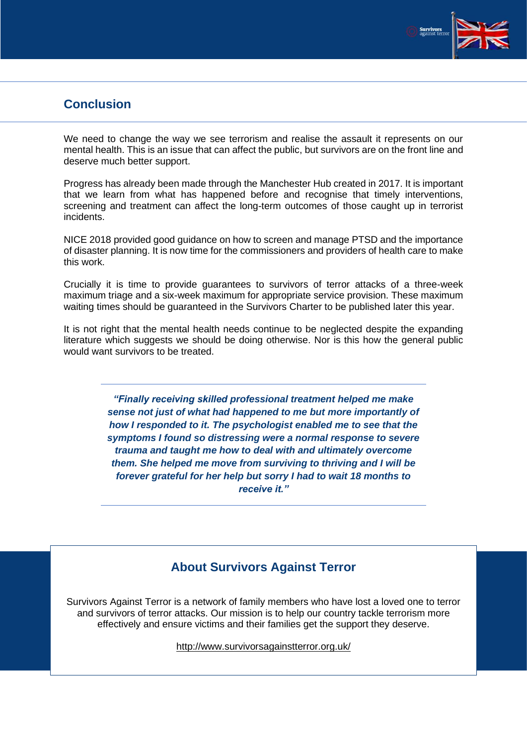

## <span id="page-11-0"></span>**Conclusion**

We need to change the way we see terrorism and realise the assault it represents on our mental health. This is an issue that can affect the public, but survivors are on the front line and deserve much better support.

Progress has already been made through the Manchester Hub created in 2017. It is important that we learn from what has happened before and recognise that timely interventions, screening and treatment can affect the long-term outcomes of those caught up in terrorist incidents.

NICE 2018 provided good guidance on how to screen and manage PTSD and the importance of disaster planning. It is now time for the commissioners and providers of health care to make this work.

Crucially it is time to provide guarantees to survivors of terror attacks of a three-week maximum triage and a six-week maximum for appropriate service provision. These maximum waiting times should be guaranteed in the Survivors Charter to be published later this year.

It is not right that the mental health needs continue to be neglected despite the expanding literature which suggests we should be doing otherwise. Nor is this how the general public would want survivors to be treated.

> *"Finally receiving skilled professional treatment helped me make sense not just of what had happened to me but more importantly of how I responded to it. The psychologist enabled me to see that the symptoms I found so distressing were a normal response to severe trauma and taught me how to deal with and ultimately overcome them. She helped me move from surviving to thriving and I will be forever grateful for her help but sorry I had to wait 18 months to receive it."*

# **About Survivors Against Terror**

<span id="page-11-1"></span>Survivors Against Terror is a network of family members who have lost a loved one to terror and survivors of terror attacks. Our mission is to help our country tackle terrorism more effectively and ensure victims and their families get the support they deserve.

<http://www.survivorsagainstterror.org.uk/>